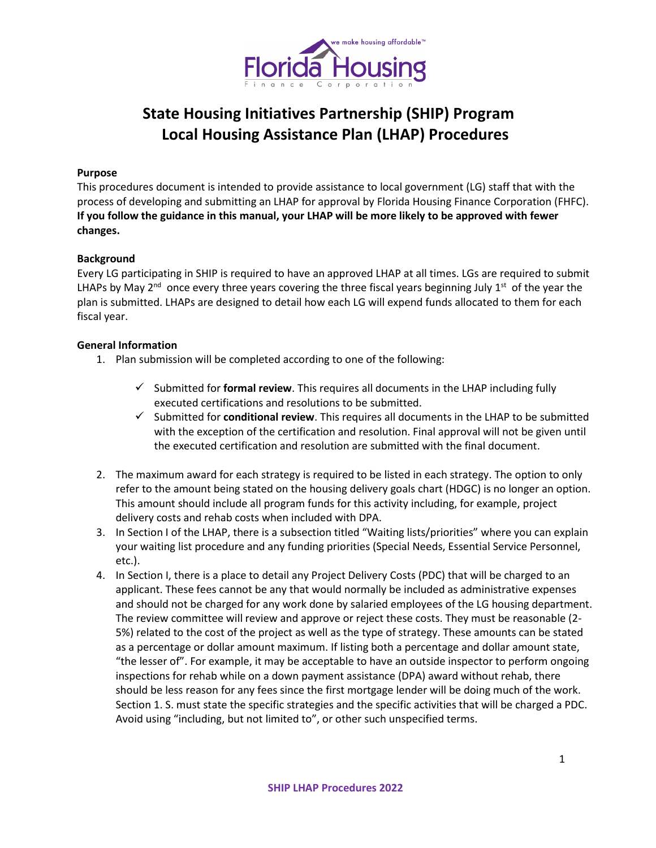

# **State Housing Initiatives Partnership (SHIP) Program Local Housing Assistance Plan (LHAP) Procedures**

# **Purpose**

This procedures document is intended to provide assistance to local government (LG) staff that with the process of developing and submitting an LHAP for approval by Florida Housing Finance Corporation (FHFC). **If you follow the guidance in this manual, your LHAP will be more likely to be approved with fewer changes.**

# **Background**

Every LG participating in SHIP is required to have an approved LHAP at all times. LGs are required to submit LHAPs by May 2<sup>nd</sup> once every three years covering the three fiscal years beginning July 1<sup>st</sup> of the year the plan is submitted. LHAPs are designed to detail how each LG will expend funds allocated to them for each fiscal year.

#### **General Information**

- 1. Plan submission will be completed according to one of the following:
	- $\checkmark$  Submitted for **formal review**. This requires all documents in the LHAP including fully executed certifications and resolutions to be submitted.
	- $\checkmark$  Submitted for **conditional review**. This requires all documents in the LHAP to be submitted with the exception of the certification and resolution. Final approval will not be given until the executed certification and resolution are submitted with the final document.
- 2. The maximum award for each strategy is required to be listed in each strategy. The option to only refer to the amount being stated on the housing delivery goals chart (HDGC) is no longer an option. This amount should include all program funds for this activity including, for example, project delivery costs and rehab costs when included with DPA.
- 3. In Section I of the LHAP, there is a subsection titled "Waiting lists/priorities" where you can explain your waiting list procedure and any funding priorities (Special Needs, Essential Service Personnel, etc.).
- 4. In Section I, there is a place to detail any Project Delivery Costs (PDC) that will be charged to an applicant. These fees cannot be any that would normally be included as administrative expenses and should not be charged for any work done by salaried employees of the LG housing department. The review committee will review and approve or reject these costs. They must be reasonable (2- 5%) related to the cost of the project as well as the type of strategy. These amounts can be stated as a percentage or dollar amount maximum. If listing both a percentage and dollar amount state, "the lesser of". For example, it may be acceptable to have an outside inspector to perform ongoing inspections for rehab while on a down payment assistance (DPA) award without rehab, there should be less reason for any fees since the first mortgage lender will be doing much of the work. Section 1. S. must state the specific strategies and the specific activities that will be charged a PDC. Avoid using "including, but not limited to", or other such unspecified terms.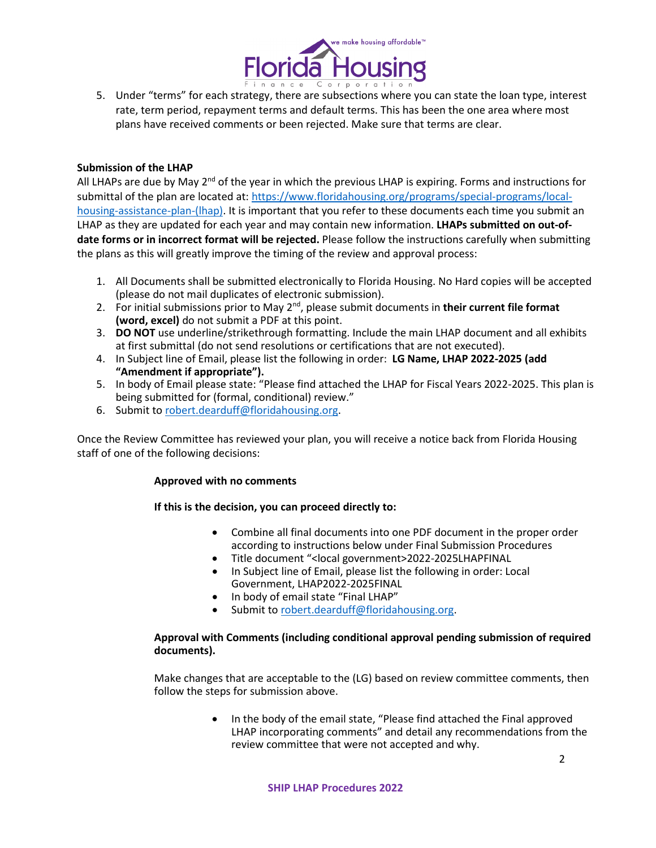

5. Under "terms" for each strategy, there are subsections where you can state the loan type, interest rate, term period, repayment terms and default terms. This has been the one area where most plans have received comments or been rejected. Make sure that terms are clear.

## **Submission of the LHAP**

All LHAPs are due by May  $2^{nd}$  of the year in which the previous LHAP is expiring. Forms and instructions for submittal of the plan are located at: [https://www.floridahousing.org/programs/special-programs/local](https://www.floridahousing.org/programs/special-programs/local-housing-assistance-plan-(lhap))[housing-assistance-plan-\(lhap\).](https://www.floridahousing.org/programs/special-programs/local-housing-assistance-plan-(lhap)) It is important that you refer to these documents each time you submit an LHAP as they are updated for each year and may contain new information. **LHAPs submitted on out-ofdate forms or in incorrect format will be rejected.** Please follow the instructions carefully when submitting the plans as this will greatly improve the timing of the review and approval process:

- 1. All Documents shall be submitted electronically to Florida Housing. No Hard copies will be accepted (please do not mail duplicates of electronic submission).
- 2. For initial submissions prior to May 2<sup>nd</sup>, please submit documents in their current file format **(word, excel)** do not submit a PDF at this point.
- 3. **DO NOT** use underline/strikethrough formatting. Include the main LHAP document and all exhibits at first submittal (do not send resolutions or certifications that are not executed).
- 4. In Subject line of Email, please list the following in order: **LG Name, LHAP 2022-2025 (add "Amendment if appropriate").**
- 5. In body of Email please state: "Please find attached the LHAP for Fiscal Years 2022-2025. This plan is being submitted for (formal, conditional) review."
- 6. Submit to [robert.dearduff@floridahousing.org.](mailto:robert.dearduff@floridahousing.org)

Once the Review Committee has reviewed your plan, you will receive a notice back from Florida Housing staff of one of the following decisions:

#### **Approved with no comments**

# **If this is the decision, you can proceed directly to:**

- Combine all final documents into one PDF document in the proper order according to instructions below under Final Submission Procedures
- Title document "<local government>2022-2025LHAPFINAL
- In Subject line of Email, please list the following in order: Local Government, LHAP2022-2025FINAL
- In body of email state "Final LHAP"
- Submit to [robert.dearduff@floridahousing.org.](mailto:robert.dearduff@floridahousing.org)

#### **Approval with Comments (including conditional approval pending submission of required documents).**

Make changes that are acceptable to the (LG) based on review committee comments, then follow the steps for submission above.

> • In the body of the email state, "Please find attached the Final approved LHAP incorporating comments" and detail any recommendations from the review committee that were not accepted and why.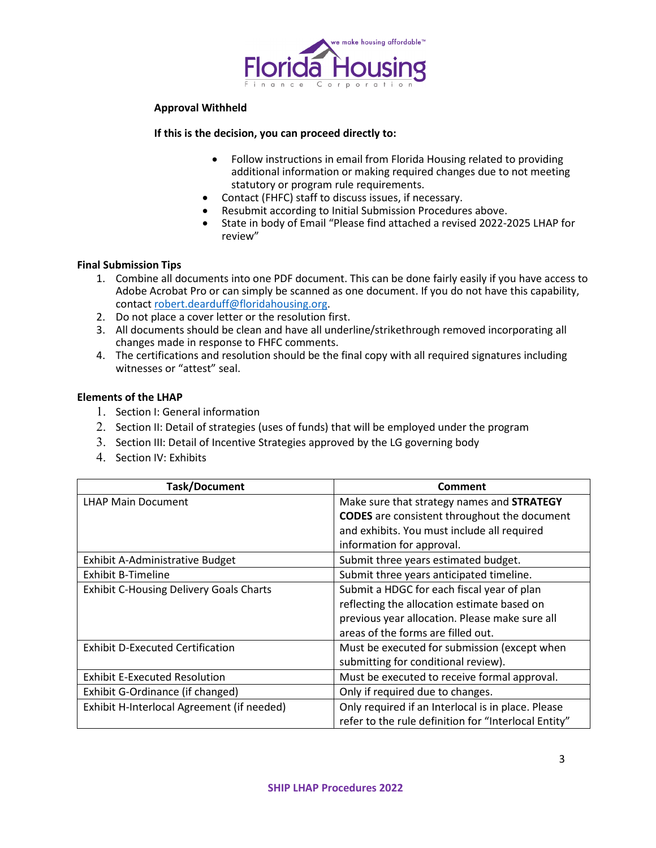

#### **Approval Withheld**

#### **If this is the decision, you can proceed directly to:**

- Follow instructions in email from Florida Housing related to providing additional information or making required changes due to not meeting statutory or program rule requirements.
- Contact (FHFC) staff to discuss issues, if necessary.
- Resubmit according to Initial Submission Procedures above.
- State in body of Email "Please find attached a revised 2022-2025 LHAP for review"

#### **Final Submission Tips**

- 1. Combine all documents into one PDF document. This can be done fairly easily if you have access to Adobe Acrobat Pro or can simply be scanned as one document. If you do not have this capability, contact [robert.dearduff@floridahousing.org.](mailto:robert.dearduff@floridahousing.org)
- 2. Do not place a cover letter or the resolution first.
- 3. All documents should be clean and have all underline/strikethrough removed incorporating all changes made in response to FHFC comments.
- 4. The certifications and resolution should be the final copy with all required signatures including witnesses or "attest" seal.

#### **Elements of the LHAP**

- 1. Section I: General information
- 2. Section II: Detail of strategies (uses of funds) that will be employed under the program
- 3. Section III: Detail of Incentive Strategies approved by the LG governing body
- 4. Section IV: Exhibits

| <b>Task/Document</b>                           | Comment                                              |
|------------------------------------------------|------------------------------------------------------|
| <b>LHAP Main Document</b>                      | Make sure that strategy names and STRATEGY           |
|                                                | <b>CODES</b> are consistent throughout the document  |
|                                                | and exhibits. You must include all required          |
|                                                | information for approval.                            |
| Exhibit A-Administrative Budget                | Submit three years estimated budget.                 |
| <b>Exhibit B-Timeline</b>                      | Submit three years anticipated timeline.             |
| <b>Exhibit C-Housing Delivery Goals Charts</b> | Submit a HDGC for each fiscal year of plan           |
|                                                | reflecting the allocation estimate based on          |
|                                                | previous year allocation. Please make sure all       |
|                                                | areas of the forms are filled out.                   |
| <b>Exhibit D-Executed Certification</b>        | Must be executed for submission (except when         |
|                                                | submitting for conditional review).                  |
| <b>Exhibit E-Executed Resolution</b>           | Must be executed to receive formal approval.         |
| Exhibit G-Ordinance (if changed)               | Only if required due to changes.                     |
| Exhibit H-Interlocal Agreement (if needed)     | Only required if an Interlocal is in place. Please   |
|                                                | refer to the rule definition for "Interlocal Entity" |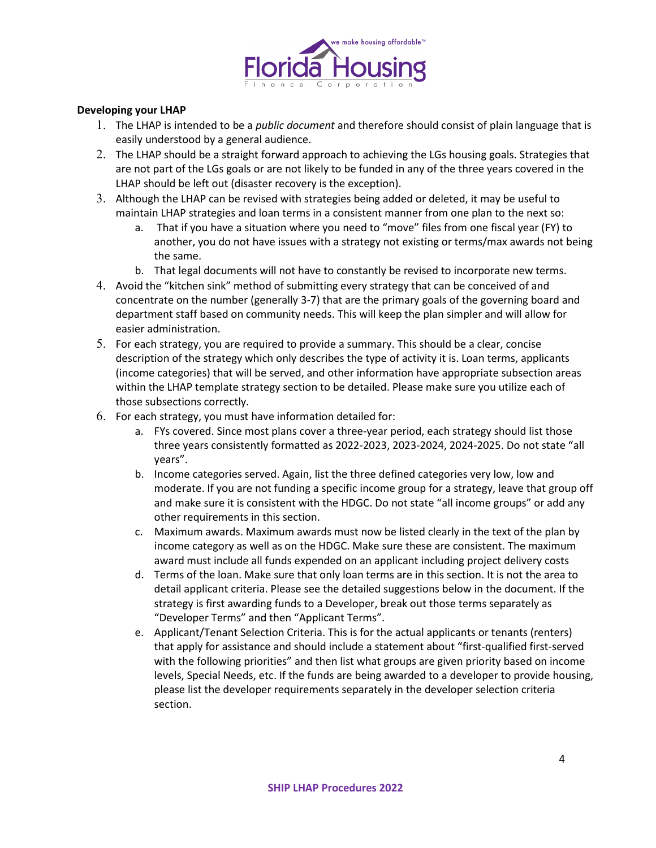

## **Developing your LHAP**

- 1. The LHAP is intended to be a *public document* and therefore should consist of plain language that is easily understood by a general audience.
- 2. The LHAP should be a straight forward approach to achieving the LGs housing goals. Strategies that are not part of the LGs goals or are not likely to be funded in any of the three years covered in the LHAP should be left out (disaster recovery is the exception).
- 3. Although the LHAP can be revised with strategies being added or deleted, it may be useful to maintain LHAP strategies and loan terms in a consistent manner from one plan to the next so:
	- a. That if you have a situation where you need to "move" files from one fiscal year (FY) to another, you do not have issues with a strategy not existing or terms/max awards not being the same.
	- b. That legal documents will not have to constantly be revised to incorporate new terms.
- 4. Avoid the "kitchen sink" method of submitting every strategy that can be conceived of and concentrate on the number (generally 3-7) that are the primary goals of the governing board and department staff based on community needs. This will keep the plan simpler and will allow for easier administration.
- 5. For each strategy, you are required to provide a summary. This should be a clear, concise description of the strategy which only describes the type of activity it is. Loan terms, applicants (income categories) that will be served, and other information have appropriate subsection areas within the LHAP template strategy section to be detailed. Please make sure you utilize each of those subsections correctly.
- 6. For each strategy, you must have information detailed for:
	- a. FYs covered. Since most plans cover a three-year period, each strategy should list those three years consistently formatted as 2022-2023, 2023-2024, 2024-2025. Do not state "all years".
	- b. Income categories served. Again, list the three defined categories very low, low and moderate. If you are not funding a specific income group for a strategy, leave that group off and make sure it is consistent with the HDGC. Do not state "all income groups" or add any other requirements in this section.
	- c. Maximum awards. Maximum awards must now be listed clearly in the text of the plan by income category as well as on the HDGC. Make sure these are consistent. The maximum award must include all funds expended on an applicant including project delivery costs
	- d. Terms of the loan. Make sure that only loan terms are in this section. It is not the area to detail applicant criteria. Please see the detailed suggestions below in the document. If the strategy is first awarding funds to a Developer, break out those terms separately as "Developer Terms" and then "Applicant Terms".
	- e. Applicant/Tenant Selection Criteria. This is for the actual applicants or tenants (renters) that apply for assistance and should include a statement about "first-qualified first-served with the following priorities" and then list what groups are given priority based on income levels, Special Needs, etc. If the funds are being awarded to a developer to provide housing, please list the developer requirements separately in the developer selection criteria section.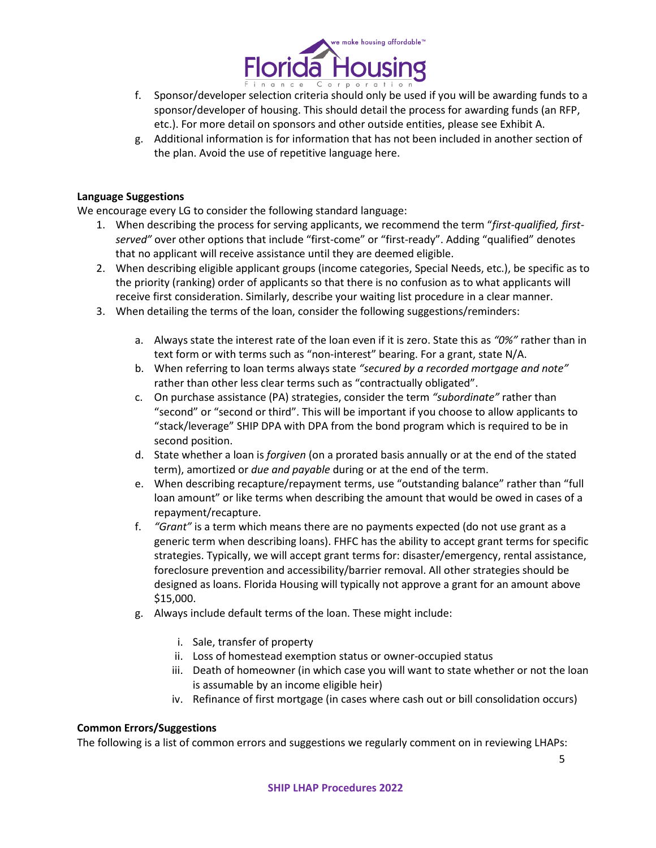

- f. Sponsor/developer selection criteria should only be used if you will be awarding funds to a sponsor/developer of housing. This should detail the process for awarding funds (an RFP, etc.). For more detail on sponsors and other outside entities, please see Exhibit A.
- g. Additional information is for information that has not been included in another section of the plan. Avoid the use of repetitive language here.

# **Language Suggestions**

We encourage every LG to consider the following standard language:

- 1. When describing the process for serving applicants, we recommend the term "*first-qualified, firstserved"* over other options that include "first-come" or "first-ready". Adding "qualified" denotes that no applicant will receive assistance until they are deemed eligible.
- 2. When describing eligible applicant groups (income categories, Special Needs, etc.), be specific as to the priority (ranking) order of applicants so that there is no confusion as to what applicants will receive first consideration. Similarly, describe your waiting list procedure in a clear manner.
- 3. When detailing the terms of the loan, consider the following suggestions/reminders:
	- a. Always state the interest rate of the loan even if it is zero. State this as *"0%"* rather than in text form or with terms such as "non-interest" bearing. For a grant, state N/A.
	- b. When referring to loan terms always state *"secured by a recorded mortgage and note"*  rather than other less clear terms such as "contractually obligated".
	- c. On purchase assistance (PA) strategies, consider the term *"subordinate"* rather than "second" or "second or third". This will be important if you choose to allow applicants to "stack/leverage" SHIP DPA with DPA from the bond program which is required to be in second position.
	- d. State whether a loan is *forgiven* (on a prorated basis annually or at the end of the stated term), amortized or *due and payable* during or at the end of the term.
	- e. When describing recapture/repayment terms, use "outstanding balance" rather than "full loan amount" or like terms when describing the amount that would be owed in cases of a repayment/recapture.
	- f. *"Grant"* is a term which means there are no payments expected (do not use grant as a generic term when describing loans). FHFC has the ability to accept grant terms for specific strategies. Typically, we will accept grant terms for: disaster/emergency, rental assistance, foreclosure prevention and accessibility/barrier removal. All other strategies should be designed as loans. Florida Housing will typically not approve a grant for an amount above \$15,000.
	- g. Always include default terms of the loan. These might include:
		- i. Sale, transfer of property
		- ii. Loss of homestead exemption status or owner-occupied status
		- iii. Death of homeowner (in which case you will want to state whether or not the loan is assumable by an income eligible heir)
		- iv. Refinance of first mortgage (in cases where cash out or bill consolidation occurs)

# **Common Errors/Suggestions**

The following is a list of common errors and suggestions we regularly comment on in reviewing LHAPs: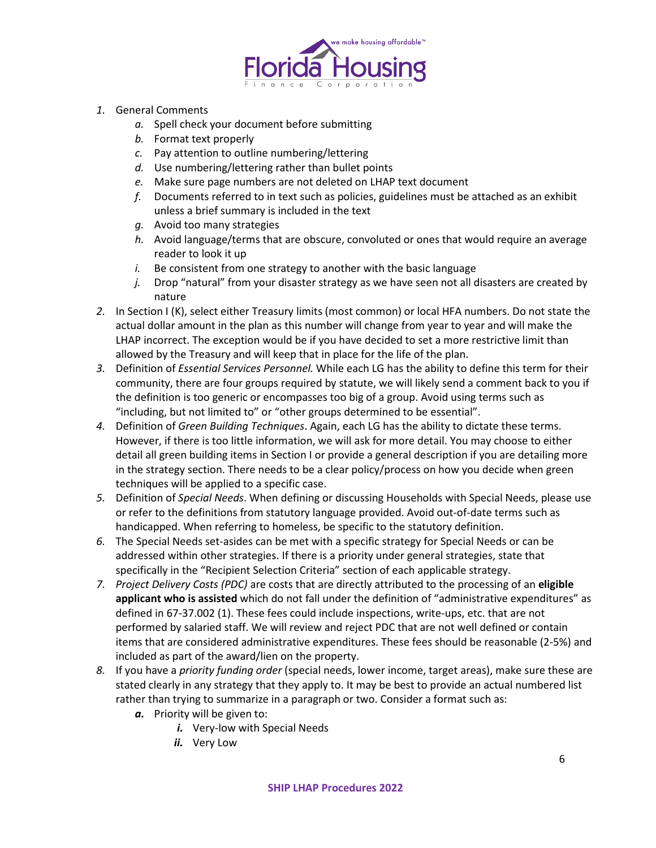

- *1.* General Comments
	- *a.* Spell check your document before submitting
	- *b.* Format text properly
	- *c.* Pay attention to outline numbering/lettering
	- *d.* Use numbering/lettering rather than bullet points
	- *e.* Make sure page numbers are not deleted on LHAP text document
	- *f.* Documents referred to in text such as policies, guidelines must be attached as an exhibit unless a brief summary is included in the text
	- *g.* Avoid too many strategies
	- *h.* Avoid language/terms that are obscure, convoluted or ones that would require an average reader to look it up
	- *i.* Be consistent from one strategy to another with the basic language
	- *j.* Drop "natural" from your disaster strategy as we have seen not all disasters are created by nature
- *2.* In Section I (K), select either Treasury limits (most common) or local HFA numbers. Do not state the actual dollar amount in the plan as this number will change from year to year and will make the LHAP incorrect. The exception would be if you have decided to set a more restrictive limit than allowed by the Treasury and will keep that in place for the life of the plan.
- *3.* Definition of *Essential Services Personnel.* While each LG has the ability to define this term for their community, there are four groups required by statute, we will likely send a comment back to you if the definition is too generic or encompasses too big of a group. Avoid using terms such as "including, but not limited to" or "other groups determined to be essential".
- *4.* Definition of *Green Building Techniques*. Again, each LG has the ability to dictate these terms. However, if there is too little information, we will ask for more detail. You may choose to either detail all green building items in Section I or provide a general description if you are detailing more in the strategy section. There needs to be a clear policy/process on how you decide when green techniques will be applied to a specific case.
- *5.* Definition of *Special Needs*. When defining or discussing Households with Special Needs, please use or refer to the definitions from statutory language provided. Avoid out-of-date terms such as handicapped. When referring to homeless, be specific to the statutory definition.
- *6.* The Special Needs set-asides can be met with a specific strategy for Special Needs or can be addressed within other strategies. If there is a priority under general strategies, state that specifically in the "Recipient Selection Criteria" section of each applicable strategy.
- *7. Project Delivery Costs (PDC)* are costs that are directly attributed to the processing of an **eligible applicant who is assisted** which do not fall under the definition of "administrative expenditures" as defined in 67-37.002 (1). These fees could include inspections, write-ups, etc. that are not performed by salaried staff. We will review and reject PDC that are not well defined or contain items that are considered administrative expenditures. These fees should be reasonable (2-5%) and included as part of the award/lien on the property.
- *8.* If you have a *priority funding order* (special needs, lower income, target areas), make sure these are stated clearly in any strategy that they apply to. It may be best to provide an actual numbered list rather than trying to summarize in a paragraph or two. Consider a format such as:
	- *a.* Priority will be given to:
		- *i.* Very-low with Special Needs
		- *ii.* Very Low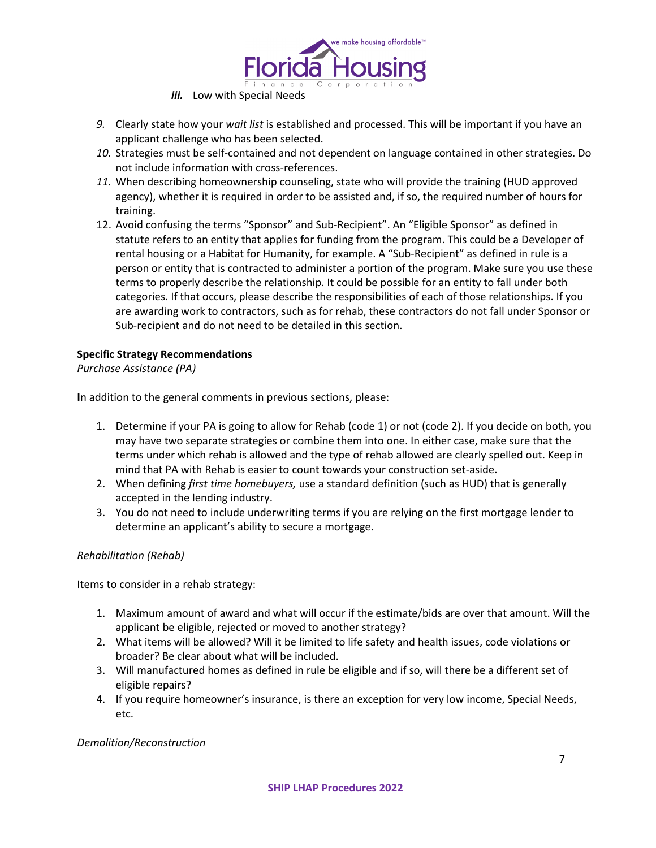

- *iii.* Low with Special Needs
- *9.* Clearly state how your *wait list* is established and processed. This will be important if you have an applicant challenge who has been selected.
- *10.* Strategies must be self-contained and not dependent on language contained in other strategies. Do not include information with cross-references.
- *11.* When describing homeownership counseling, state who will provide the training (HUD approved agency), whether it is required in order to be assisted and, if so, the required number of hours for training.
- 12. Avoid confusing the terms "Sponsor" and Sub-Recipient". An "Eligible Sponsor" as defined in statute refers to an entity that applies for funding from the program. This could be a Developer of rental housing or a Habitat for Humanity, for example. A "Sub-Recipient" as defined in rule is a person or entity that is contracted to administer a portion of the program. Make sure you use these terms to properly describe the relationship. It could be possible for an entity to fall under both categories. If that occurs, please describe the responsibilities of each of those relationships. If you are awarding work to contractors, such as for rehab, these contractors do not fall under Sponsor or Sub-recipient and do not need to be detailed in this section.

# **Specific Strategy Recommendations**

*Purchase Assistance (PA)*

**I**n addition to the general comments in previous sections, please:

- 1. Determine if your PA is going to allow for Rehab (code 1) or not (code 2). If you decide on both, you may have two separate strategies or combine them into one. In either case, make sure that the terms under which rehab is allowed and the type of rehab allowed are clearly spelled out. Keep in mind that PA with Rehab is easier to count towards your construction set-aside.
- 2. When defining *first time homebuyers,* use a standard definition (such as HUD) that is generally accepted in the lending industry.
- 3. You do not need to include underwriting terms if you are relying on the first mortgage lender to determine an applicant's ability to secure a mortgage.

# *Rehabilitation (Rehab)*

Items to consider in a rehab strategy:

- 1. Maximum amount of award and what will occur if the estimate/bids are over that amount. Will the applicant be eligible, rejected or moved to another strategy?
- 2. What items will be allowed? Will it be limited to life safety and health issues, code violations or broader? Be clear about what will be included.
- 3. Will manufactured homes as defined in rule be eligible and if so, will there be a different set of eligible repairs?
- 4. If you require homeowner's insurance, is there an exception for very low income, Special Needs, etc.

#### *Demolition/Reconstruction*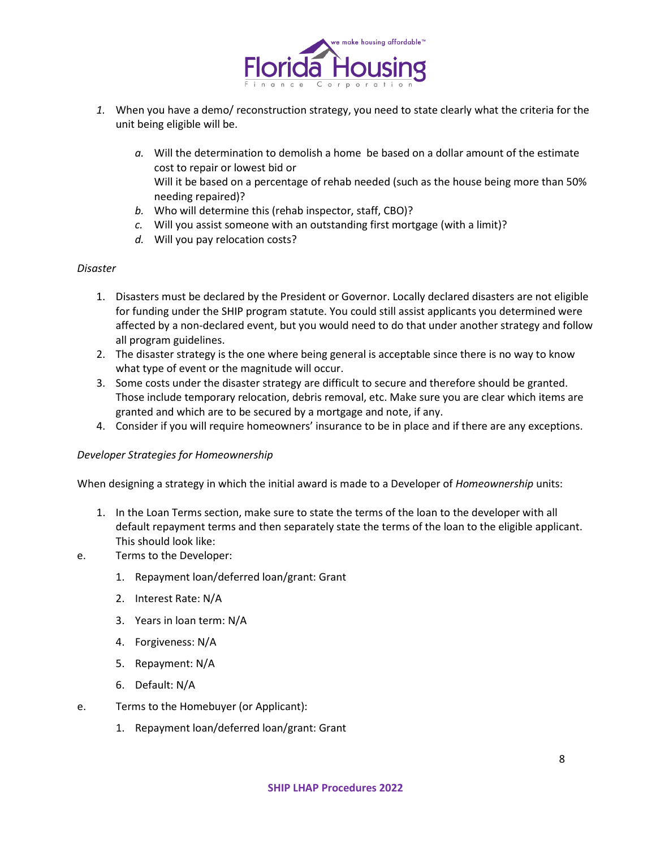

- *1.* When you have a demo/ reconstruction strategy, you need to state clearly what the criteria for the unit being eligible will be.
	- *a.* Will the determination to demolish a home be based on a dollar amount of the estimate cost to repair or lowest bid or Will it be based on a percentage of rehab needed (such as the house being more than 50% needing repaired)?
	- *b.* Who will determine this (rehab inspector, staff, CBO)?
	- *c.* Will you assist someone with an outstanding first mortgage (with a limit)?
	- *d.* Will you pay relocation costs?

#### *Disaster*

- 1. Disasters must be declared by the President or Governor. Locally declared disasters are not eligible for funding under the SHIP program statute. You could still assist applicants you determined were affected by a non-declared event, but you would need to do that under another strategy and follow all program guidelines.
- 2. The disaster strategy is the one where being general is acceptable since there is no way to know what type of event or the magnitude will occur.
- 3. Some costs under the disaster strategy are difficult to secure and therefore should be granted. Those include temporary relocation, debris removal, etc. Make sure you are clear which items are granted and which are to be secured by a mortgage and note, if any.
- 4. Consider if you will require homeowners' insurance to be in place and if there are any exceptions.

#### *Developer Strategies for Homeownership*

When designing a strategy in which the initial award is made to a Developer of *Homeownership* units:

- 1. In the Loan Terms section, make sure to state the terms of the loan to the developer with all default repayment terms and then separately state the terms of the loan to the eligible applicant. This should look like:
- e. Terms to the Developer:
	- 1. Repayment loan/deferred loan/grant: Grant
	- 2. Interest Rate: N/A
	- 3. Years in loan term: N/A
	- 4. Forgiveness: N/A
	- 5. Repayment: N/A
	- 6. Default: N/A
- e. Terms to the Homebuyer (or Applicant):
	- 1. Repayment loan/deferred loan/grant: Grant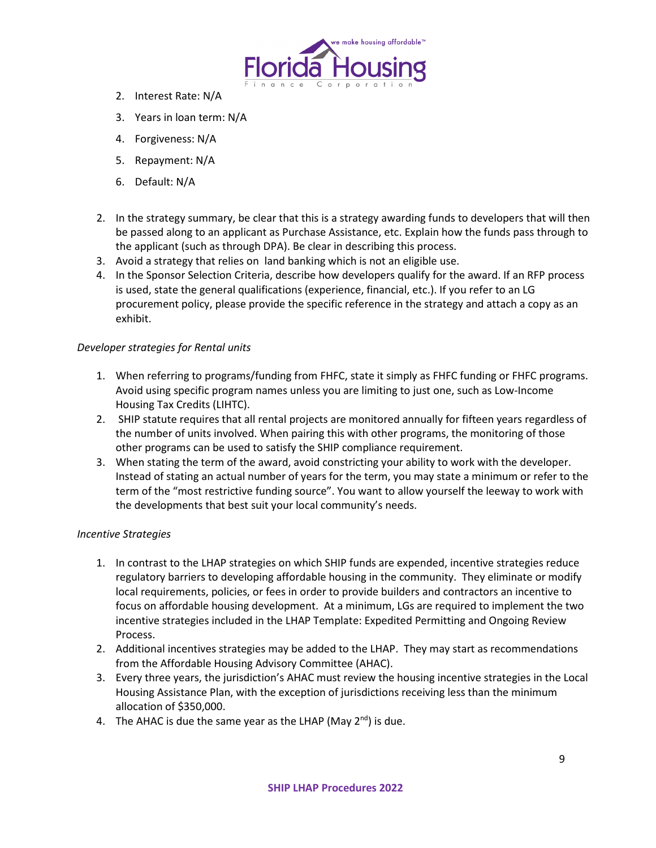

- 2. Interest Rate: N/A
- 3. Years in loan term: N/A
- 4. Forgiveness: N/A
- 5. Repayment: N/A
- 6. Default: N/A
- 2. In the strategy summary, be clear that this is a strategy awarding funds to developers that will then be passed along to an applicant as Purchase Assistance, etc. Explain how the funds pass through to the applicant (such as through DPA). Be clear in describing this process.
- 3. Avoid a strategy that relies on land banking which is not an eligible use.
- 4. In the Sponsor Selection Criteria, describe how developers qualify for the award. If an RFP process is used, state the general qualifications (experience, financial, etc.). If you refer to an LG procurement policy, please provide the specific reference in the strategy and attach a copy as an exhibit.

# *Developer strategies for Rental units*

- 1. When referring to programs/funding from FHFC, state it simply as FHFC funding or FHFC programs. Avoid using specific program names unless you are limiting to just one, such as Low-Income Housing Tax Credits (LIHTC).
- 2. SHIP statute requires that all rental projects are monitored annually for fifteen years regardless of the number of units involved. When pairing this with other programs, the monitoring of those other programs can be used to satisfy the SHIP compliance requirement.
- 3. When stating the term of the award, avoid constricting your ability to work with the developer. Instead of stating an actual number of years for the term, you may state a minimum or refer to the term of the "most restrictive funding source". You want to allow yourself the leeway to work with the developments that best suit your local community's needs.

# *Incentive Strategies*

- 1. In contrast to the LHAP strategies on which SHIP funds are expended, incentive strategies reduce regulatory barriers to developing affordable housing in the community. They eliminate or modify local requirements, policies, or fees in order to provide builders and contractors an incentive to focus on affordable housing development. At a minimum, LGs are required to implement the two incentive strategies included in the LHAP Template: Expedited Permitting and Ongoing Review Process.
- 2. Additional incentives strategies may be added to the LHAP. They may start as recommendations from the Affordable Housing Advisory Committee (AHAC).
- 3. Every three years, the jurisdiction's AHAC must review the housing incentive strategies in the Local Housing Assistance Plan, with the exception of jurisdictions receiving less than the minimum allocation of \$350,000.
- 4. The AHAC is due the same year as the LHAP (May  $2<sup>nd</sup>$ ) is due.